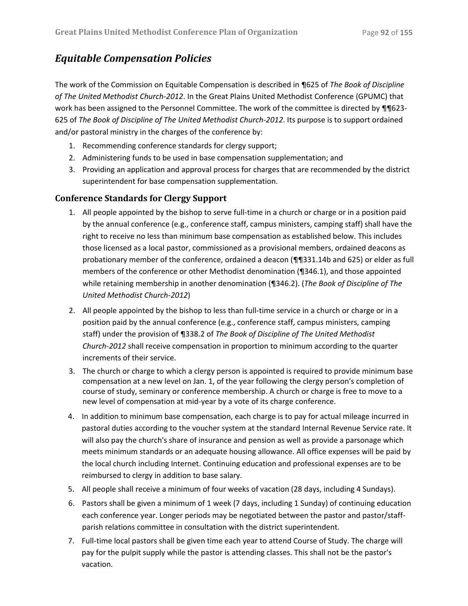## *Equitable Compensation Policies*

The work of the Commission on Equitable Compensation is described in ¶625 of *The Book of Discipline of The United Methodist Church-2012*. In the Great Plains United Methodist Conference (GPUMC) that work has been assigned to the Personnel Committee. The work of the committee is directed by ¶¶623-625 of *The Book of Discipline of The United Methodist Church-2012*. Its purpose is to support ordained and/or pastoral ministry in the charges of the conference by:

- 1. Recommending conference standards for clergy support;
- 2. Administering funds to be used in base compensation supplementation; and
- 3. Providing an application and approval process for charges that are recommended by the district superintendent for base compensation supplementation.

## **Conference Standards for Clergy Support**

- 1. All people appointed by the bishop to serve full-time in a church or charge or in a position paid by the annual conference (e.g., conference staff, campus ministers, camping staff) shall have the right to receive no less than minimum base compensation as established below. This includes those licensed as a local pastor, commissioned as a provisional members, ordained deacons as probationary member of the conference, ordained a deacon (¶¶331.14b and 625) or elder as full members of the conference or other Methodist denomination (¶346.1), and those appointed while retaining membership in another denomination (¶346.2). (*The Book of Discipline of The United Methodist Church-2012*)
- 2. All people appointed by the bishop to less than full-time service in a church or charge or in a position paid by the annual conference (e.g., conference staff, campus ministers, camping staff) under the provision of ¶338.2 of *The Book of Discipline of The United Methodist Church-2012* shall receive compensation in proportion to minimum according to the quarter increments of their service.
- 3. The church or charge to which a clergy person is appointed is required to provide minimum base compensation at a new level on Jan. 1, of the year following the clergy person's completion of course of study, seminary or conference membership. A church or charge is free to move to a new level of compensation at mid-year by a vote of its charge conference.
- 4. In addition to minimum base compensation, each charge is to pay for actual mileage incurred in pastoral duties according to the voucher system at the standard Internal Revenue Service rate. It will also pay the church's share of insurance and pension as well as provide a parsonage which meets minimum standards or an adequate housing allowance. All office expenses will be paid by the local church including Internet. Continuing education and professional expenses are to be reimbursed to clergy in addition to base salary.
- 5. All people shall receive a minimum of four weeks of vacation (28 days, including 4 Sundays).
- 6. Pastors shall be given a minimum of 1 week (7 days, including 1 Sunday) of continuing education each conference year. Longer periods may be negotiated between the pastor and pastor/staffparish relations committee in consultation with the district superintendent.
- 7. Full-time local pastors shall be given time each year to attend Course of Study. The charge will pay for the pulpit supply while the pastor is attending classes. This shall not be the pastor's vacation.